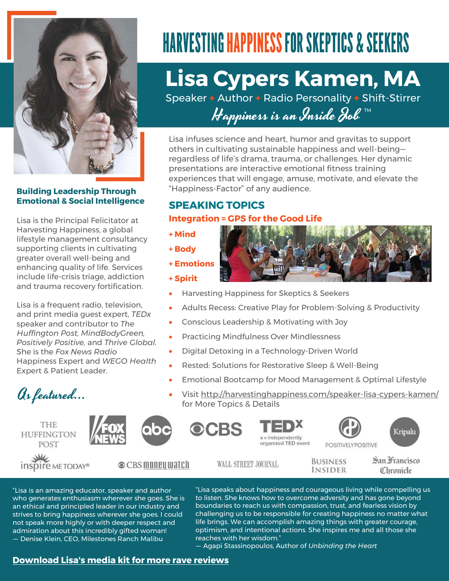

**Building Leadership Through Emotional & Social Intelligence** 

Lisa is the Principal Felicitator at Harvesting Happiness, a global lifestyle management consultancy supporting clients in cultivating greater overall well-being and enhancing quality of life. Services include life-crisis triage, addiction and trauma recovery fortification.

Lisa is a frequent radio, television, and print media guest expert, *TEDx* speaker and contributor to *The Huffington Post, MindBodyGreen, Positively Positive,* and *Thrive Global.* She is the *Fox News Radio* Happiness Expert and *WEGO Health*  Expert & Patient Leader.

As featured...



inspire ME TODAY®

**+ Mind** 

**+ Body** 

**+ Spirit** 

**+ Emotions** 

WALL STREET JOURNAL

OCBS

**BUSINESS INSIDER** 

**POSITIVELYPOSITIVE** 

San Francisco Chronicle

Kripalu

"Lisa is an amazing educator, speaker and author who generates enthusiasm wherever she goes. She is an ethical and principled leader in our industry and strives to bring happiness wherever she goes. I could not speak more highly or with deeper respect and admiration about this incredibly gifted woman! — Denise Klein, CEO, Milestones Ranch Malibu

Harvesting Happiness for Skeptics & Seekers

"Happiness-Factor" of any audience.

Adults Recess: Creative Play for Problem-Solving & Productivity

**Lisa Cypers Kamen, MA** 

**HARVESTING HAPPINESS FOR SKEPTICS & SEEKERS** 

Speaker **+** Author **+** Radio Personality **+** Shift-Stirrer

Happiness is an Inside Fob  $^{\text{\tiny{\textsf{TM}}}}$ 

Lisa infuses science and heart, humor and gravitas to support others in cultivating sustainable happiness and well-being regardless of life's drama, trauma, or challenges. Her dynamic

experiences that will engage, amuse, motivate, and elevate the

presentations are interactive emotional fitness training

- Conscious Leadership & Motivating with Joy
- Practicing Mindfulness Over Mindlessness
- Digital Detoxing in a Technology-Driven World
- Rested: Solutions for Restorative Sleep & Well-Being

 $x =$  independently organized TED event

- Emotional Bootcamp for Mood Management & Optimal Lifestyle
- Visit<http://harvestinghappiness.com/speaker-lisa-cypers-kamen/> for More Topics & Details

"Lisa speaks about happiness and courageous living while compelling us to listen. She knows how to overcome adversity and has gone beyond boundaries to reach us with compassion, trust, and fearless vision by challenging us to be responsible for creating happiness no matter what life brings. We can accomplish amazing things with greater courage, optimism, and intentional actions. She inspires me and all those she reaches with her wisdom."

— Agapi Stassinopoulos, Author of *Unbinding the Heart*